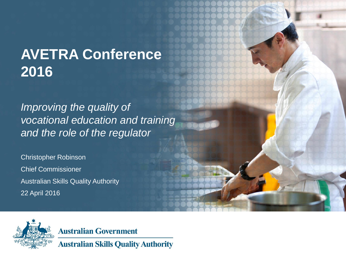# **AVETRA Conference 2016**

*Improving the quality of vocational education and training and the role of the regulator*

Christopher Robinson Chief Commissioner Australian Skills Quality Authority 22 April 2016



**Australian Government** 

**Australian Skills Quality Authority**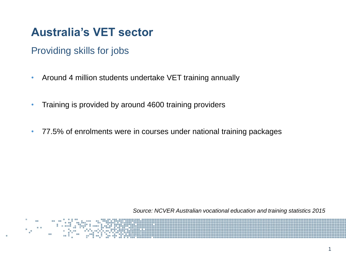Providing skills for jobs

- Around 4 million students undertake VET training annually
- Training is provided by around 4600 training providers
- 77.5% of enrolments were in courses under national training packages

*Source: NCVER Australian vocational education and training statistics 2015*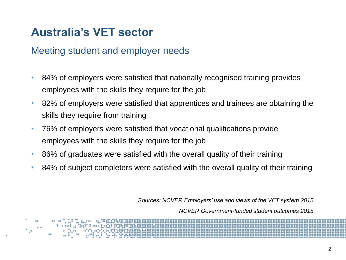#### Meeting student and employer needs

- 84% of employers were satisfied that nationally recognised training provides employees with the skills they require for the job
- 82% of employers were satisfied that apprentices and trainees are obtaining the skills they require from training
- 76% of employers were satisfied that vocational qualifications provide employees with the skills they require for the job
- 86% of graduates were satisfied with the overall quality of their training
- 84% of subject completers were satisfied with the overall quality of their training

*Sources: NCVER Employers' use and views of the VET system 2015*

*NCVER Government-funded student outcomes 2015*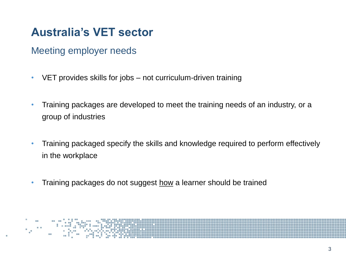Meeting employer needs

- VET provides skills for jobs not curriculum-driven training
- Training packages are developed to meet the training needs of an industry, or a group of industries
- Training packaged specify the skills and knowledge required to perform effectively in the workplace
- Training packages do not suggest how a learner should be trained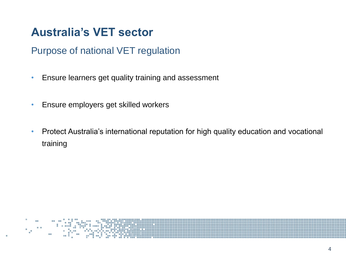#### Purpose of national VET regulation

- Ensure learners get quality training and assessment
- Ensure employers get skilled workers
- Protect Australia's international reputation for high quality education and vocational training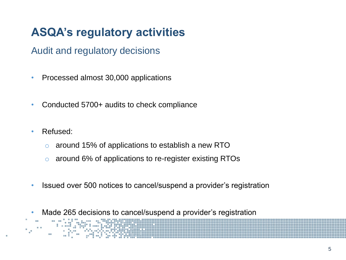# **ASQA's regulatory activities**

Audit and regulatory decisions

- Processed almost 30,000 applications
- Conducted 5700+ audits to check compliance
- Refused:
	- o around 15% of applications to establish a new RTO
	- o around 6% of applications to re-register existing RTOs
- Issued over 500 notices to cancel/suspend a provider's registration
- Made 265 decisions to cancel/suspend a provider's registration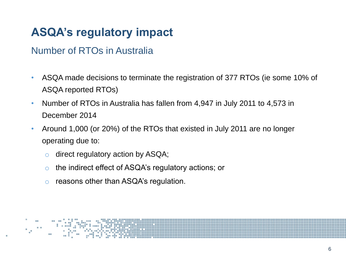#### Number of RTOs in Australia

- ASQA made decisions to terminate the registration of 377 RTOs (ie some 10% of ASQA reported RTOs)
- Number of RTOs in Australia has fallen from 4,947 in July 2011 to 4,573 in December 2014
- Around 1,000 (or 20%) of the RTOs that existed in July 2011 are no longer operating due to:
	- o direct regulatory action by ASQA;
	- o the indirect effect of ASQA's regulatory actions; or
	- o reasons other than ASQA's regulation.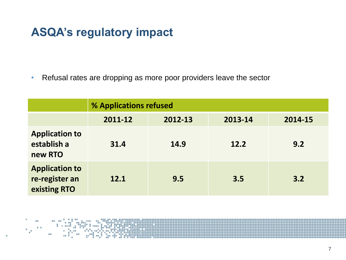• Refusal rates are dropping as more poor providers leave the sector

|                                                         | % Applications refused |         |         |         |  |  |
|---------------------------------------------------------|------------------------|---------|---------|---------|--|--|
|                                                         | 2011-12                | 2012-13 | 2013-14 | 2014-15 |  |  |
| <b>Application to</b><br>establish a<br>new RTO         | 31.4                   | 14.9    | 12.2    | 9.2     |  |  |
| <b>Application to</b><br>re-register an<br>existing RTO | 12.1                   | 9.5     | 3.5     | 3.2     |  |  |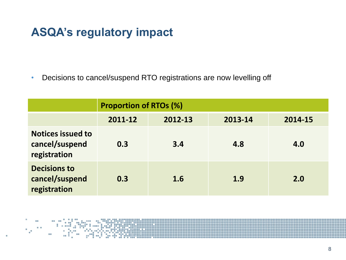• Decisions to cancel/suspend RTO registrations are now levelling off

|                                                            | <b>Proportion of RTOs (%)</b> |         |         |         |  |  |
|------------------------------------------------------------|-------------------------------|---------|---------|---------|--|--|
|                                                            | 2011-12                       | 2012-13 | 2013-14 | 2014-15 |  |  |
| <b>Notices issued to</b><br>cancel/suspend<br>registration | 0.3                           | 3.4     | 4.8     | 4.0     |  |  |
| <b>Decisions to</b><br>cancel/suspend<br>registration      | 0.3                           | 1.6     | 1.9     | 2.0     |  |  |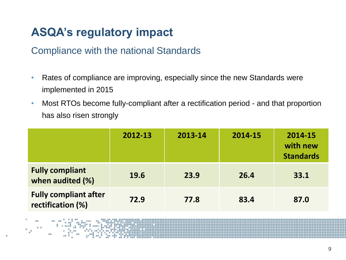#### Compliance with the national Standards

- Rates of compliance are improving, especially since the new Standards were implemented in 2015
- Most RTOs become fully-compliant after a rectification period and that proportion has also risen strongly

|                                                   | 2012-13 | 2013-14 | 2014-15 | 2014-15<br>with new<br><b>Standards</b> |
|---------------------------------------------------|---------|---------|---------|-----------------------------------------|
| <b>Fully compliant</b><br>when audited (%)        | 19.6    | 23.9    | 26.4    | 33.1                                    |
| <b>Fully compliant after</b><br>rectification (%) | 72.9    | 77.8    | 83.4    | 87.0                                    |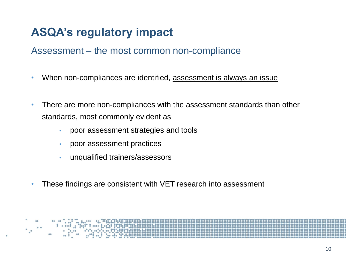#### Assessment – the most common non-compliance

- When non-compliances are identified, assessment is always an issue
- There are more non-compliances with the assessment standards than other standards, most commonly evident as
	- poor assessment strategies and tools
	- poor assessment practices
	- unqualified trainers/assessors
- These findings are consistent with VET research into assessment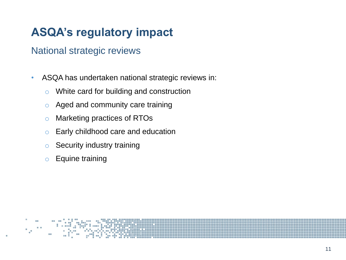#### National strategic reviews

- ASQA has undertaken national strategic reviews in:
	- o White card for building and construction
	- $\circ$  Aged and community care training
	- o Marketing practices of RTOs
	- o Early childhood care and education
	- o Security industry training
	- o Equine training

11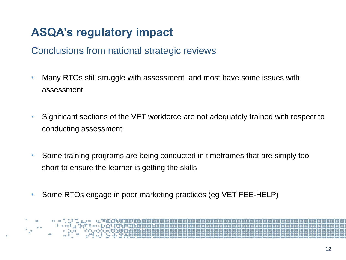#### Conclusions from national strategic reviews

- Many RTOs still struggle with assessment and most have some issues with assessment
- Significant sections of the VET workforce are not adequately trained with respect to conducting assessment
- Some training programs are being conducted in timeframes that are simply too short to ensure the learner is getting the skills
- Some RTOs engage in poor marketing practices (eg VET FEE-HELP)

12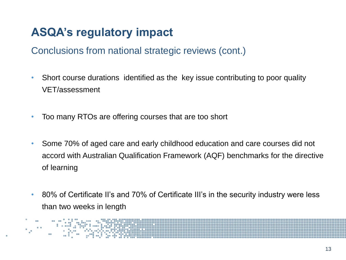Conclusions from national strategic reviews (cont.)

- Short course durations identified as the key issue contributing to poor quality VET/assessment
- Too many RTOs are offering courses that are too short
- Some 70% of aged care and early childhood education and care courses did not accord with Australian Qualification Framework (AQF) benchmarks for the directive of learning
- 80% of Certificate II's and 70% of Certificate III's in the security industry were less than two weeks in length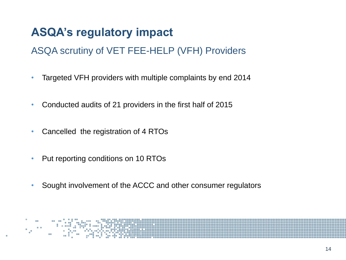#### ASQA scrutiny of VET FEE-HELP (VFH) Providers

- Targeted VFH providers with multiple complaints by end 2014
- Conducted audits of 21 providers in the first half of 2015
- Cancelled the registration of 4 RTOs
- Put reporting conditions on 10 RTOs
- Sought involvement of the ACCC and other consumer regulators

14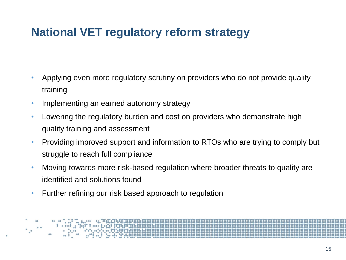### **National VET regulatory reform strategy**

- Applying even more regulatory scrutiny on providers who do not provide quality training
- Implementing an earned autonomy strategy
- Lowering the regulatory burden and cost on providers who demonstrate high quality training and assessment
- Providing improved support and information to RTOs who are trying to comply but struggle to reach full compliance
- Moving towards more risk-based regulation where broader threats to quality are identified and solutions found
- Further refining our risk based approach to regulation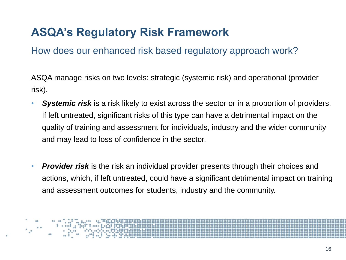How does our enhanced risk based regulatory approach work?

ASQA manage risks on two levels: strategic (systemic risk) and operational (provider risk).

- **Systemic risk** is a risk likely to exist across the sector or in a proportion of providers. If left untreated, significant risks of this type can have a detrimental impact on the quality of training and assessment for individuals, industry and the wider community and may lead to loss of confidence in the sector.
- **Provider risk** is the risk an individual provider presents through their choices and actions, which, if left untreated, could have a significant detrimental impact on training and assessment outcomes for students, industry and the community.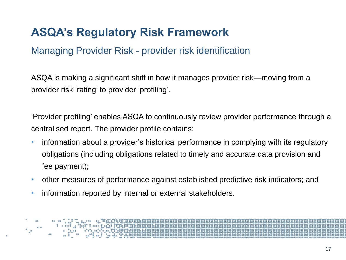#### Managing Provider Risk - provider risk identification

ASQA is making a significant shift in how it manages provider risk—moving from a provider risk 'rating' to provider 'profiling'.

'Provider profiling' enables ASQA to continuously review provider performance through a centralised report. The provider profile contains:

- information about a provider's historical performance in complying with its regulatory obligations (including obligations related to timely and accurate data provision and fee payment);
- other measures of performance against established predictive risk indicators; and
- information reported by internal or external stakeholders.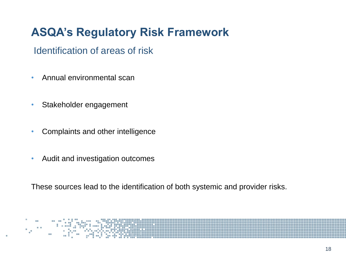Identification of areas of risk

- Annual environmental scan
- Stakeholder engagement
- Complaints and other intelligence
- Audit and investigation outcomes

These sources lead to the identification of both systemic and provider risks.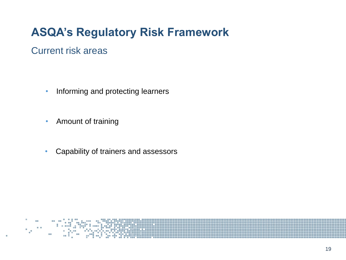#### Current risk areas

- Informing and protecting learners
- Amount of training
- Capability of trainers and assessors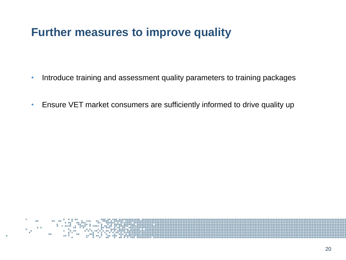### **Further measures to improve quality**

- Introduce training and assessment quality parameters to training packages
- Ensure VET market consumers are sufficiently informed to drive quality up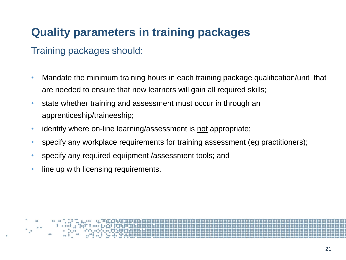# **Quality parameters in training packages**

#### Training packages should:

- Mandate the minimum training hours in each training package qualification/unit that are needed to ensure that new learners will gain all required skills;
- state whether training and assessment must occur in through an apprenticeship/traineeship;
- identify where on-line learning/assessment is not appropriate;
- specify any workplace requirements for training assessment (eg practitioners);
- specify any required equipment /assessment tools; and
- line up with licensing requirements.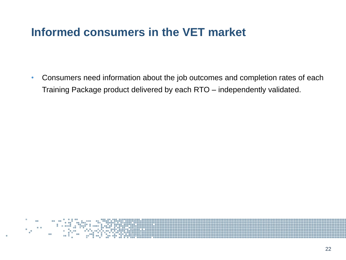### **Informed consumers in the VET market**

• Consumers need information about the job outcomes and completion rates of each Training Package product delivered by each RTO – independently validated.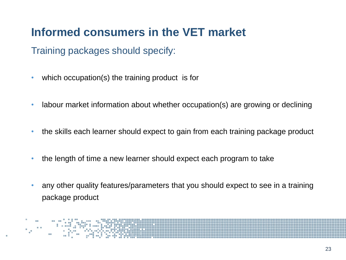# **Informed consumers in the VET market**

Training packages should specify:

- which occupation(s) the training product is for
- labour market information about whether occupation(s) are growing or declining
- the skills each learner should expect to gain from each training package product
- the length of time a new learner should expect each program to take
- any other quality features/parameters that you should expect to see in a training package product